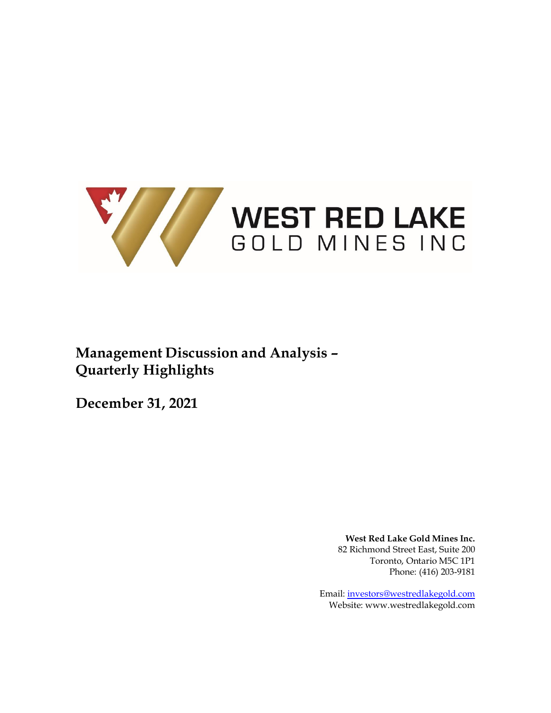

# **Management Discussion and Analysis – Quarterly Highlights**

**December 31, 2021**

**West Red Lake Gold Mines Inc.** 82 Richmond Street East, Suite 200 Toronto, Ontario M5C 1P1 Phone: (416) 203-9181

Email: [investors@westredlakegold.com](mailto:investors@westredlakegold.com) Website: [www.westredlakegold.com](http://www.westredlakegold.com/)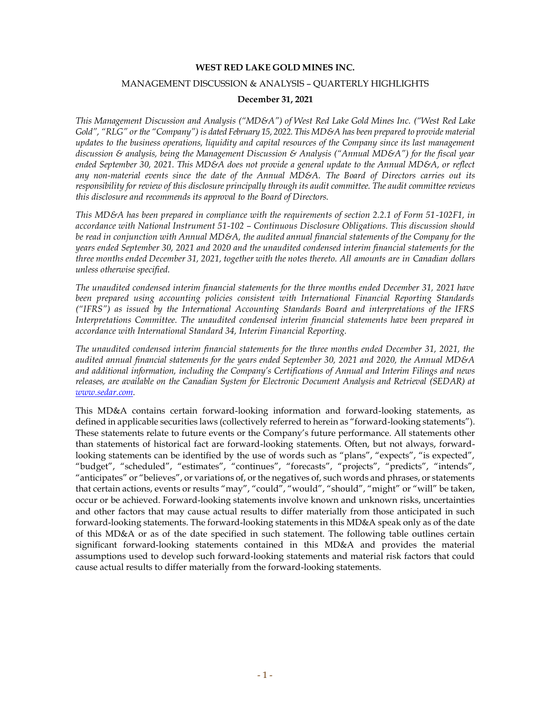#### **WEST RED LAKE GOLD MINES INC.**

#### MANAGEMENT DISCUSSION & ANALYSIS – QUARTERLY HIGHLIGHTS

#### **December 31, 2021**

This Management Discussion and Analysis ("MD&A") of West Red Lake Gold Mines Inc. ("West Red Lake *Gold", "RLG" or the "Company") is dated February 15, 2022. This MD&A has been prepared to provide material updates to the business operations, liquidity and capital resources of the Company since its last management discussion & analysis, being the Management Discussion & Analysis ("Annual MD&A") for the fiscal year ended September 30, 2021. This MD&A does not provide a general update to the Annual MD&A, or reflect any non-material events since the date of the Annual MD&A. The Board of Directors carries out its responsibility for review of this disclosure principally through its audit committee. The audit committee reviews this disclosure and recommends its approval to the Board of Directors.*

*This MD&A has been prepared in compliance with the requirements of section 2.2.1 of Form 51-102F1, in accordance with National Instrument 51-102 – Continuous Disclosure Obligations. This discussion should be read in conjunction with Annual MD&A, the audited annual financial statements of the Company for the years ended September 30, 2021 and 2020 and the unaudited condensed interim financial statements for the three months ended December 31, 2021, together with the notes thereto. All amounts are in Canadian dollars unless otherwise specified.*

*The unaudited condensed interim financial statements for the three months ended December 31, 2021 have been prepared using accounting policies consistent with International Financial Reporting Standards ("IFRS") as issued by the International Accounting Standards Board and interpretations of the IFRS Interpretations Committee. The unaudited condensed interim financial statements have been prepared in accordance with International Standard 34, Interim Financial Reporting.*

*The unaudited condensed interim financial statements for the three months ended December 31, 2021, the audited annual financial statements for the years ended September 30, 2021 and 2020, the Annual MD&A and additional information, including the Company's Certifications of Annual and Interim Filings and news releases, are available on the Canadian System for Electronic Document Analysis and Retrieval (SEDAR) at [www.sedar.com.](http://www.sedar.com/)*

This MD&A contains certain forward-looking information and forward-looking statements, as defined in applicable securities laws (collectively referred to herein as "forward-looking statements"). These statements relate to future events or the Company's future performance. All statements other than statements of historical fact are forward-looking statements. Often, but not always, forwardlooking statements can be identified by the use of words such as "plans", "expects", "is expected", "budget", "scheduled", "estimates", "continues", "forecasts", "projects", "predicts", "intends", "anticipates" or "believes", or variations of, or the negatives of, such words and phrases, or statements that certain actions, events or results "may", "could", "would", "should", "might" or "will" be taken, occur or be achieved. Forward-looking statements involve known and unknown risks, uncertainties and other factors that may cause actual results to differ materially from those anticipated in such forward-looking statements. The forward-looking statements in this MD&A speak only as of the date of this MD&A or as of the date specified in such statement. The following table outlines certain significant forward-looking statements contained in this MD&A and provides the material assumptions used to develop such forward-looking statements and material risk factors that could cause actual results to differ materially from the forward-looking statements.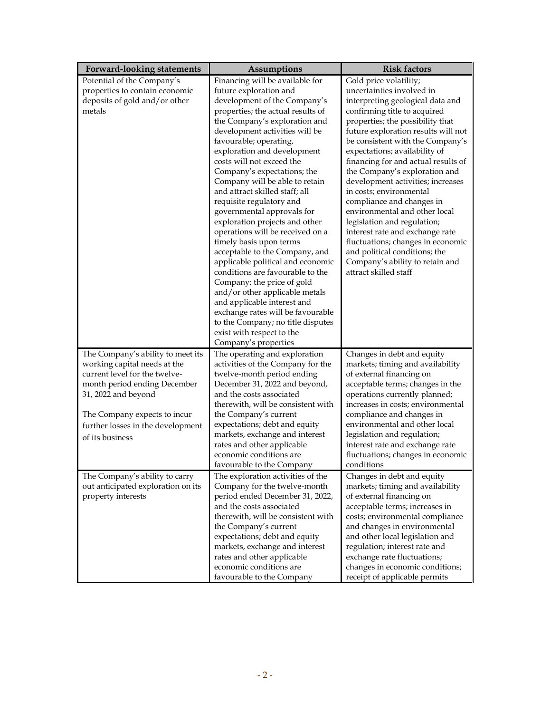| <b>Forward-looking statements</b>                             | <b>Assumptions</b>                                              | <b>Risk factors</b>                                          |
|---------------------------------------------------------------|-----------------------------------------------------------------|--------------------------------------------------------------|
| Potential of the Company's                                    | Financing will be available for                                 | Gold price volatility;                                       |
| properties to contain economic                                | future exploration and                                          | uncertainties involved in                                    |
| deposits of gold and/or other                                 | development of the Company's                                    | interpreting geological data and                             |
| metals                                                        | properties; the actual results of                               | confirming title to acquired                                 |
|                                                               | the Company's exploration and                                   | properties; the possibility that                             |
|                                                               | development activities will be                                  | future exploration results will not                          |
|                                                               | favourable; operating,                                          | be consistent with the Company's                             |
|                                                               | exploration and development                                     | expectations; availability of                                |
|                                                               | costs will not exceed the                                       | financing for and actual results of                          |
|                                                               | Company's expectations; the                                     | the Company's exploration and                                |
|                                                               | Company will be able to retain                                  | development activities; increases<br>in costs; environmental |
|                                                               | and attract skilled staff; all                                  |                                                              |
|                                                               | requisite regulatory and<br>governmental approvals for          | compliance and changes in<br>environmental and other local   |
|                                                               | exploration projects and other                                  | legislation and regulation;                                  |
|                                                               | operations will be received on a                                | interest rate and exchange rate                              |
|                                                               | timely basis upon terms                                         | fluctuations; changes in economic                            |
|                                                               | acceptable to the Company, and                                  | and political conditions; the                                |
|                                                               | applicable political and economic                               | Company's ability to retain and                              |
|                                                               | conditions are favourable to the                                | attract skilled staff                                        |
|                                                               | Company; the price of gold                                      |                                                              |
|                                                               | and/or other applicable metals                                  |                                                              |
|                                                               | and applicable interest and                                     |                                                              |
|                                                               | exchange rates will be favourable                               |                                                              |
|                                                               | to the Company; no title disputes                               |                                                              |
|                                                               | exist with respect to the                                       |                                                              |
|                                                               | Company's properties                                            |                                                              |
| The Company's ability to meet its                             | The operating and exploration                                   | Changes in debt and equity                                   |
| working capital needs at the<br>current level for the twelve- | activities of the Company for the<br>twelve-month period ending | markets; timing and availability<br>of external financing on |
| month period ending December                                  | December 31, 2022 and beyond,                                   | acceptable terms; changes in the                             |
| 31, 2022 and beyond                                           | and the costs associated                                        | operations currently planned;                                |
|                                                               | therewith, will be consistent with                              | increases in costs; environmental                            |
| The Company expects to incur                                  | the Company's current                                           | compliance and changes in                                    |
| further losses in the development                             | expectations; debt and equity                                   | environmental and other local                                |
| of its business                                               | markets, exchange and interest                                  | legislation and regulation;                                  |
|                                                               | rates and other applicable                                      | interest rate and exchange rate                              |
|                                                               | economic conditions are                                         | fluctuations; changes in economic                            |
|                                                               | favourable to the Company                                       | conditions                                                   |
| The Company's ability to carry                                | The exploration activities of the                               | Changes in debt and equity                                   |
| out anticipated exploration on its                            | Company for the twelve-month                                    | markets; timing and availability                             |
| property interests                                            | period ended December 31, 2022,                                 | of external financing on                                     |
|                                                               | and the costs associated                                        | acceptable terms; increases in                               |
|                                                               | therewith, will be consistent with                              | costs; environmental compliance                              |
|                                                               | the Company's current                                           | and changes in environmental                                 |
|                                                               | expectations; debt and equity                                   | and other local legislation and                              |
|                                                               | markets, exchange and interest<br>rates and other applicable    | regulation; interest rate and<br>exchange rate fluctuations; |
|                                                               | economic conditions are                                         | changes in economic conditions;                              |
|                                                               | favourable to the Company                                       | receipt of applicable permits                                |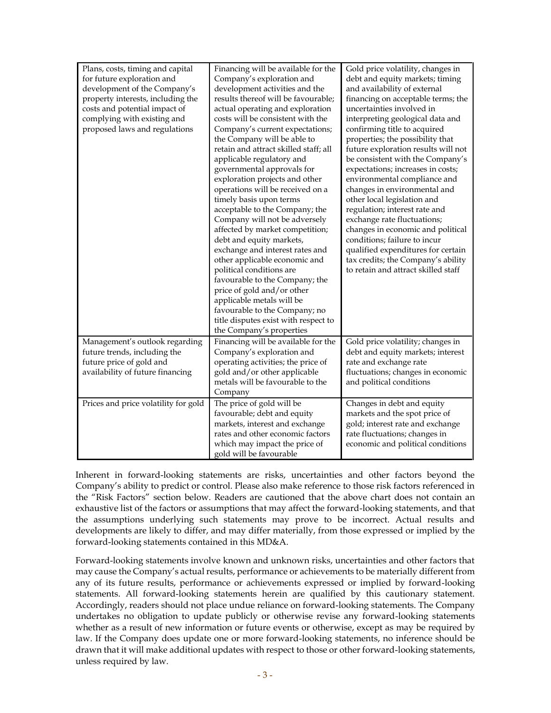| Plans, costs, timing and capital<br>for future exploration and<br>development of the Company's<br>property interests, including the<br>costs and potential impact of<br>complying with existing and<br>proposed laws and regulations | Financing will be available for the<br>Company's exploration and<br>development activities and the<br>results thereof will be favourable;<br>actual operating and exploration<br>costs will be consistent with the<br>Company's current expectations;<br>the Company will be able to<br>retain and attract skilled staff; all<br>applicable regulatory and<br>governmental approvals for<br>exploration projects and other<br>operations will be received on a<br>timely basis upon terms<br>acceptable to the Company; the<br>Company will not be adversely<br>affected by market competition;<br>debt and equity markets,<br>exchange and interest rates and<br>other applicable economic and<br>political conditions are<br>favourable to the Company; the<br>price of gold and/or other<br>applicable metals will be<br>favourable to the Company; no<br>title disputes exist with respect to<br>the Company's properties | Gold price volatility, changes in<br>debt and equity markets; timing<br>and availability of external<br>financing on acceptable terms; the<br>uncertainties involved in<br>interpreting geological data and<br>confirming title to acquired<br>properties; the possibility that<br>future exploration results will not<br>be consistent with the Company's<br>expectations; increases in costs;<br>environmental compliance and<br>changes in environmental and<br>other local legislation and<br>regulation; interest rate and<br>exchange rate fluctuations;<br>changes in economic and political<br>conditions; failure to incur<br>qualified expenditures for certain<br>tax credits; the Company's ability<br>to retain and attract skilled staff |
|--------------------------------------------------------------------------------------------------------------------------------------------------------------------------------------------------------------------------------------|-------------------------------------------------------------------------------------------------------------------------------------------------------------------------------------------------------------------------------------------------------------------------------------------------------------------------------------------------------------------------------------------------------------------------------------------------------------------------------------------------------------------------------------------------------------------------------------------------------------------------------------------------------------------------------------------------------------------------------------------------------------------------------------------------------------------------------------------------------------------------------------------------------------------------------|--------------------------------------------------------------------------------------------------------------------------------------------------------------------------------------------------------------------------------------------------------------------------------------------------------------------------------------------------------------------------------------------------------------------------------------------------------------------------------------------------------------------------------------------------------------------------------------------------------------------------------------------------------------------------------------------------------------------------------------------------------|
| Management's outlook regarding<br>future trends, including the<br>future price of gold and<br>availability of future financing                                                                                                       | Financing will be available for the<br>Company's exploration and<br>operating activities; the price of<br>gold and/or other applicable<br>metals will be favourable to the<br>Company                                                                                                                                                                                                                                                                                                                                                                                                                                                                                                                                                                                                                                                                                                                                         | Gold price volatility; changes in<br>debt and equity markets; interest<br>rate and exchange rate<br>fluctuations; changes in economic<br>and political conditions                                                                                                                                                                                                                                                                                                                                                                                                                                                                                                                                                                                      |
| Prices and price volatility for gold                                                                                                                                                                                                 | The price of gold will be<br>favourable; debt and equity<br>markets, interest and exchange<br>rates and other economic factors<br>which may impact the price of<br>gold will be favourable                                                                                                                                                                                                                                                                                                                                                                                                                                                                                                                                                                                                                                                                                                                                    | Changes in debt and equity<br>markets and the spot price of<br>gold; interest rate and exchange<br>rate fluctuations; changes in<br>economic and political conditions                                                                                                                                                                                                                                                                                                                                                                                                                                                                                                                                                                                  |

Inherent in forward-looking statements are risks, uncertainties and other factors beyond the Company's ability to predict or control. Please also make reference to those risk factors referenced in the "Risk Factors" section below. Readers are cautioned that the above chart does not contain an exhaustive list of the factors or assumptions that may affect the forward-looking statements, and that the assumptions underlying such statements may prove to be incorrect. Actual results and developments are likely to differ, and may differ materially, from those expressed or implied by the forward-looking statements contained in this MD&A.

Forward-looking statements involve known and unknown risks, uncertainties and other factors that may cause the Company's actual results, performance or achievements to be materially different from any of its future results, performance or achievements expressed or implied by forward-looking statements. All forward-looking statements herein are qualified by this cautionary statement. Accordingly, readers should not place undue reliance on forward-looking statements. The Company undertakes no obligation to update publicly or otherwise revise any forward-looking statements whether as a result of new information or future events or otherwise, except as may be required by law. If the Company does update one or more forward-looking statements, no inference should be drawn that it will make additional updates with respect to those or other forward-looking statements, unless required by law.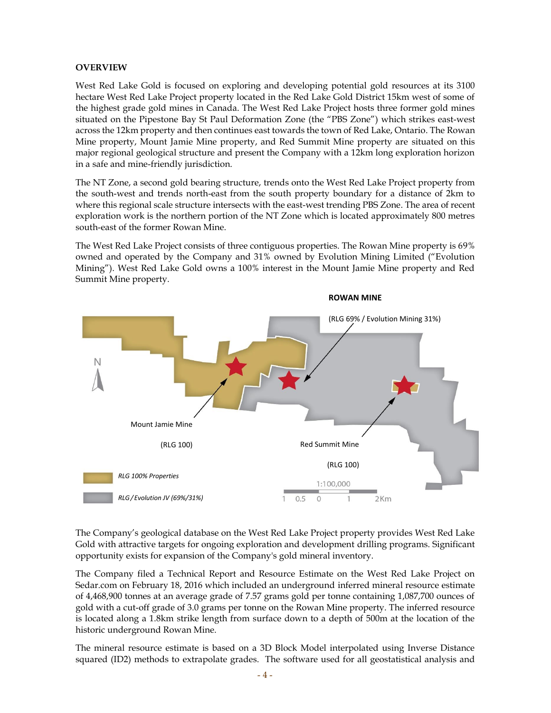#### **OVERVIEW**

West Red Lake Gold is focused on exploring and developing potential gold resources at its 3100 hectare West Red Lake Project property located in the Red Lake Gold District 15km west of some of the highest grade gold mines in Canada. The West Red Lake Project hosts three former gold mines situated on the Pipestone Bay St Paul Deformation Zone (the "PBS Zone") which strikes east-west across the 12km property and then continues east towards the town of Red Lake, Ontario. The Rowan Mine property, Mount Jamie Mine property, and Red Summit Mine property are situated on this major regional geological structure and present the Company with a 12km long exploration horizon in a safe and mine-friendly jurisdiction.

The NT Zone, a second gold bearing structure, trends onto the West Red Lake Project property from the south-west and trends north-east from the south property boundary for a distance of 2km to where this regional scale structure intersects with the east-west trending PBS Zone. The area of recent exploration work is the northern portion of the NT Zone which is located approximately 800 metres south-east of the former Rowan Mine.

The West Red Lake Project consists of three contiguous properties. The Rowan Mine property is 69% owned and operated by the Company and 31% owned by Evolution Mining Limited ("Evolution Mining"). West Red Lake Gold owns a 100% interest in the Mount Jamie Mine property and Red Summit Mine property.



The Company's geological database on the West Red Lake Project property provides West Red Lake Gold with attractive targets for ongoing exploration and development drilling programs. Significant opportunity exists for expansion of the Company's gold mineral inventory.

The Company filed a Technical Report and Resource Estimate on the West Red Lake Project on Sedar.com on February 18, 2016 which included an underground inferred mineral resource estimate of 4,468,900 tonnes at an average grade of 7.57 grams gold per tonne containing 1,087,700 ounces of gold with a cut-off grade of 3.0 grams per tonne on the Rowan Mine property. The inferred resource is located along a 1.8km strike length from surface down to a depth of 500m at the location of the historic underground Rowan Mine.

The mineral resource estimate is based on a 3D Block Model interpolated using Inverse Distance squared (ID2) methods to extrapolate grades. The software used for all geostatistical analysis and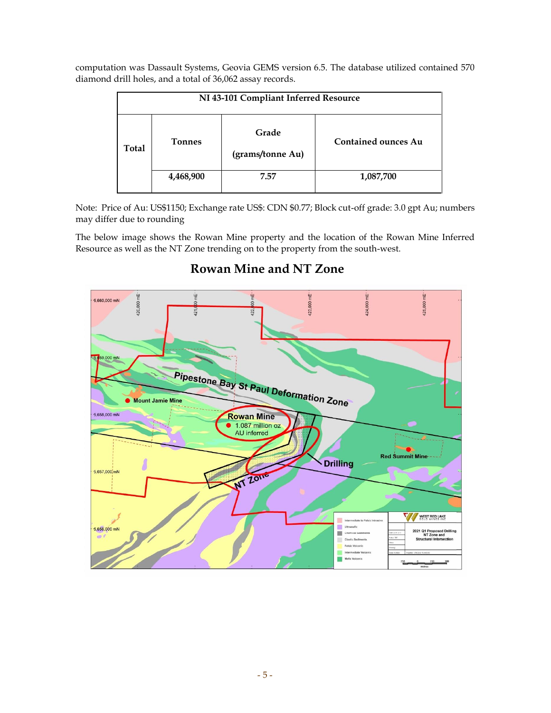computation was Dassault Systems, Geovia GEMS version 6.5. The database utilized contained 570 diamond drill holes, and a total of 36,062 assay records.

| NI 43-101 Compliant Inferred Resource |               |                           |                            |
|---------------------------------------|---------------|---------------------------|----------------------------|
| <b>Total</b>                          | <b>Tonnes</b> | Grade<br>(grams/tonne Au) | <b>Contained ounces Au</b> |
|                                       | 4,468,900     | 7.57                      | 1,087,700                  |

Note: Price of Au: US\$1150; Exchange rate US\$: CDN \$0.77; Block cut-off grade: 3.0 gpt Au; numbers may differ due to rounding

The below image shows the Rowan Mine property and the location of the Rowan Mine Inferred Resource as well as the NT Zone trending on to the property from the south-west.

# **Rowan Mine and NT Zone**

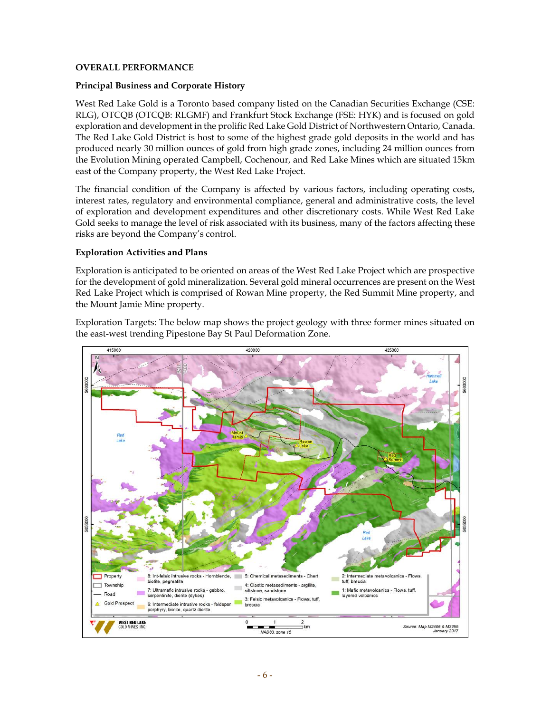#### **OVERALL PERFORMANCE**

#### **Principal Business and Corporate History**

West Red Lake Gold is a Toronto based company listed on the Canadian Securities Exchange (CSE: RLG), OTCQB (OTCQB: RLGMF) and Frankfurt Stock Exchange (FSE: HYK) and is focused on gold exploration and development in the prolific Red Lake Gold District of Northwestern Ontario, Canada. The Red Lake Gold District is host to some of the highest grade gold deposits in the world and has produced nearly 30 million ounces of gold from high grade zones, including 24 million ounces from the Evolution Mining operated Campbell, Cochenour, and Red Lake Mines which are situated 15km east of the Company property, the West Red Lake Project.

The financial condition of the Company is affected by various factors, including operating costs, interest rates, regulatory and environmental compliance, general and administrative costs, the level of exploration and development expenditures and other discretionary costs. While West Red Lake Gold seeks to manage the level of risk associated with its business, many of the factors affecting these risks are beyond the Company's control.

#### **Exploration Activities and Plans**

Exploration is anticipated to be oriented on areas of the West Red Lake Project which are prospective for the development of gold mineralization. Several gold mineral occurrences are present on the West Red Lake Project which is comprised of Rowan Mine property, the Red Summit Mine property, and the Mount Jamie Mine property.

Exploration Targets: The below map shows the project geology with three former mines situated on the east-west trending Pipestone Bay St Paul Deformation Zone.

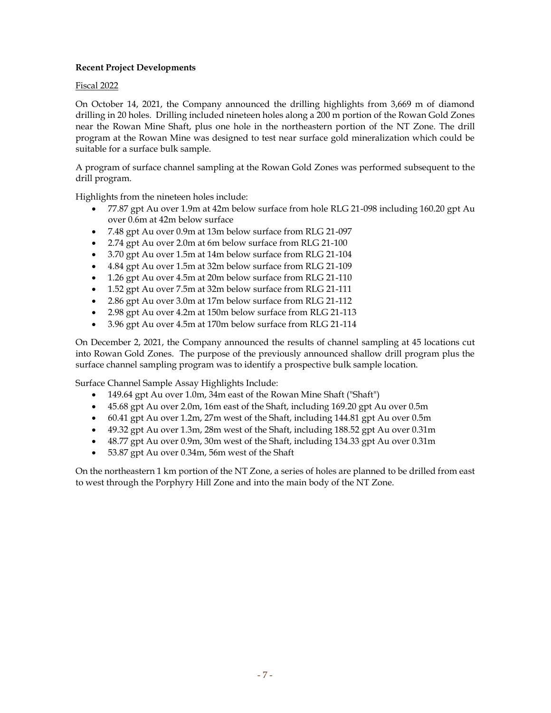# **Recent Project Developments**

#### Fiscal 2022

On October 14, 2021, the Company announced the drilling highlights from 3,669 m of diamond drilling in 20 holes. Drilling included nineteen holes along a 200 m portion of the Rowan Gold Zones near the Rowan Mine Shaft, plus one hole in the northeastern portion of the NT Zone. The drill program at the Rowan Mine was designed to test near surface gold mineralization which could be suitable for a surface bulk sample.

A program of surface channel sampling at the Rowan Gold Zones was performed subsequent to the drill program.

Highlights from the nineteen holes include:

- 77.87 gpt Au over 1.9m at 42m below surface from hole RLG 21-098 including 160.20 gpt Au over 0.6m at 42m below surface
- 7.48 gpt Au over 0.9m at 13m below surface from RLG 21-097
- 2.74 gpt Au over 2.0m at 6m below surface from RLG 21-100
- 3.70 gpt Au over 1.5m at 14m below surface from RLG 21-104
- 4.84 gpt Au over 1.5m at 32m below surface from RLG 21-109
- 1.26 gpt Au over 4.5m at 20m below surface from RLG 21-110
- 1.52 gpt Au over 7.5m at 32m below surface from RLG 21-111
- 2.86 gpt Au over 3.0m at 17m below surface from RLG 21-112
- 2.98 gpt Au over 4.2m at 150m below surface from RLG 21-113
- 3.96 gpt Au over 4.5m at 170m below surface from RLG 21-114

On December 2, 2021, the Company announced the results of channel sampling at 45 locations cut into Rowan Gold Zones. The purpose of the previously announced shallow drill program plus the surface channel sampling program was to identify a prospective bulk sample location.

Surface Channel Sample Assay Highlights Include:

- 149.64 gpt Au over 1.0m, 34m east of the Rowan Mine Shaft ("Shaft")
- 45.68 gpt Au over 2.0m, 16m east of the Shaft, including 169.20 gpt Au over 0.5m
- 60.41 gpt Au over 1.2m, 27m west of the Shaft, including 144.81 gpt Au over 0.5m
- 49.32 gpt Au over 1.3m, 28m west of the Shaft, including 188.52 gpt Au over 0.31m
- 48.77 gpt Au over 0.9m, 30m west of the Shaft, including 134.33 gpt Au over 0.31m
- 53.87 gpt Au over 0.34m, 56m west of the Shaft

On the northeastern 1 km portion of the NT Zone, a series of holes are planned to be drilled from east to west through the Porphyry Hill Zone and into the main body of the NT Zone.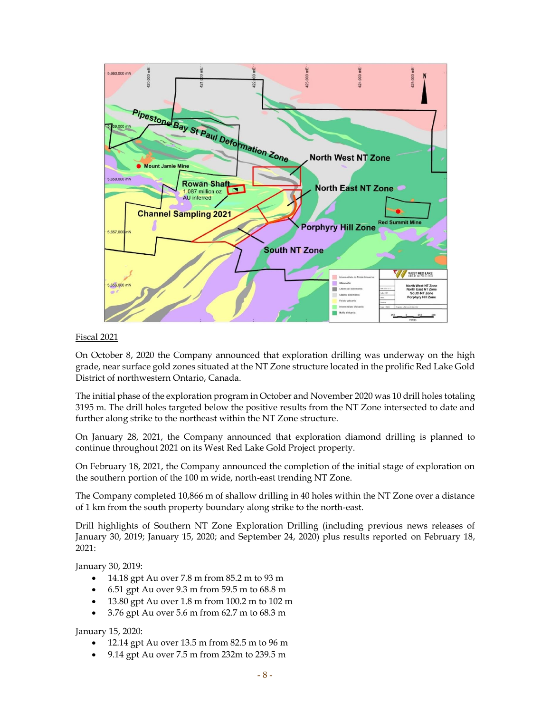

#### Fiscal 2021

On October 8, 2020 the Company announced that exploration drilling was underway on the high grade, near surface gold zones situated at the NT Zone structure located in the prolific Red Lake Gold District of northwestern Ontario, Canada.

The initial phase of the exploration program in October and November 2020 was 10 drill holes totaling 3195 m. The drill holes targeted below the positive results from the NT Zone intersected to date and further along strike to the northeast within the NT Zone structure.

On January 28, 2021, the Company announced that exploration diamond drilling is planned to continue throughout 2021 on its West Red Lake Gold Project property.

On February 18, 2021, the Company announced the completion of the initial stage of exploration on the southern portion of the 100 m wide, north-east trending NT Zone.

The Company completed 10,866 m of shallow drilling in 40 holes within the NT Zone over a distance of 1 km from the south property boundary along strike to the north-east.

Drill highlights of Southern NT Zone Exploration Drilling (including previous news releases of January 30, 2019; January 15, 2020; and September 24, 2020) plus results reported on February 18, 2021:

January 30, 2019:

- 14.18 gpt Au over 7.8 m from 85.2 m to 93 m
- 6.51 gpt Au over 9.3 m from 59.5 m to 68.8 m
- 13.80 gpt Au over 1.8 m from 100.2 m to 102 m
- 3.76 gpt Au over 5.6 m from 62.7 m to 68.3 m

January 15, 2020:

- 12.14 gpt Au over 13.5 m from 82.5 m to 96 m
- 9.14 gpt Au over 7.5 m from 232m to 239.5 m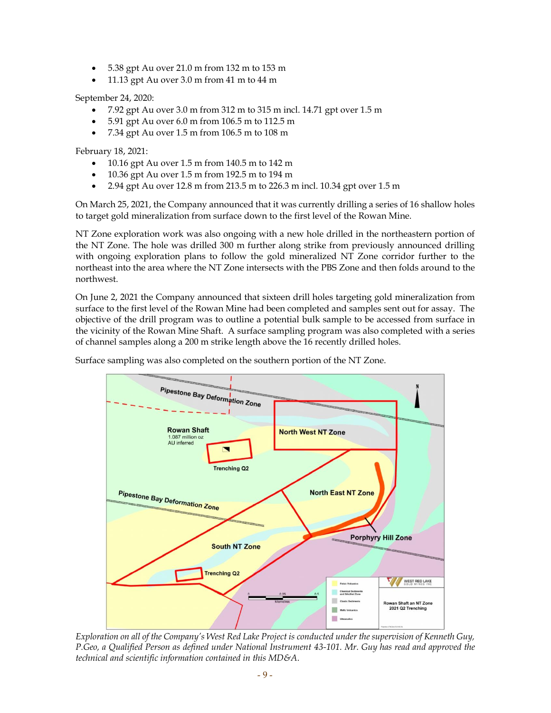- 5.38 gpt Au over 21.0 m from 132 m to 153 m
- 11.13 gpt Au over 3.0 m from 41 m to 44 m

September 24, 2020:

- $\bullet$  7.92 gpt Au over 3.0 m from 312 m to 315 m incl. 14.71 gpt over 1.5 m
- 5.91 gpt Au over 6.0 m from 106.5 m to 112.5 m
- 7.34 gpt Au over 1.5 m from 106.5 m to 108 m

February 18, 2021:

- 10.16 gpt Au over 1.5 m from 140.5 m to 142 m
- 10.36 gpt Au over 1.5 m from 192.5 m to 194 m
- 2.94 gpt Au over 12.8 m from 213.5 m to 226.3 m incl. 10.34 gpt over 1.5 m

On March 25, 2021, the Company announced that it was currently drilling a series of 16 shallow holes to target gold mineralization from surface down to the first level of the Rowan Mine.

NT Zone exploration work was also ongoing with a new hole drilled in the northeastern portion of the NT Zone. The hole was drilled 300 m further along strike from previously announced drilling with ongoing exploration plans to follow the gold mineralized NT Zone corridor further to the northeast into the area where the NT Zone intersects with the PBS Zone and then folds around to the northwest.

On June 2, 2021 the Company announced that sixteen drill holes targeting gold mineralization from surface to the first level of the Rowan Mine had been completed and samples sent out for assay. The objective of the drill program was to outline a potential bulk sample to be accessed from surface in the vicinity of the Rowan Mine Shaft. A surface sampling program was also completed with a series of channel samples along a 200 m strike length above the 16 recently drilled holes.

Surface sampling was also completed on the southern portion of the NT Zone.



*Exploration on all of the Company's West Red Lake Project is conducted under the supervision of Kenneth Guy, P.Geo, a Qualified Person as defined under National Instrument 43-101. Mr. Guy has read and approved the technical and scientific information contained in this MD&A.*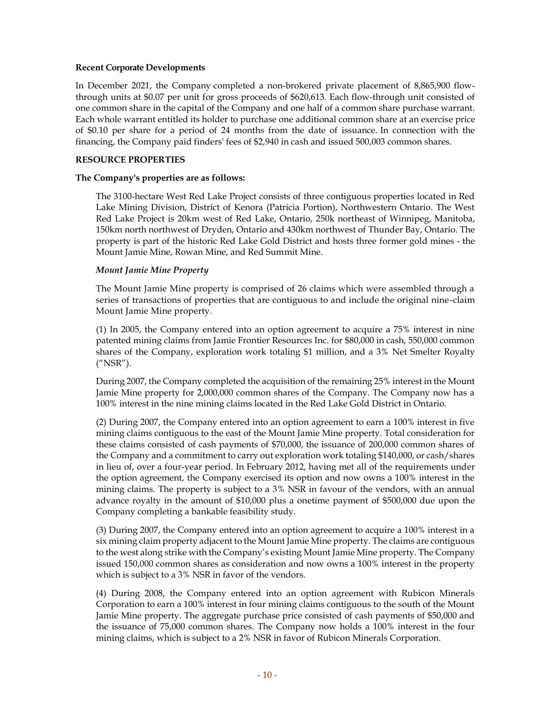#### **Recent Corporate Developments**

In December 2021, the Company completed a non-brokered private placement of 8,865,900 flowthrough units at \$0.07 per unit for gross proceeds of \$620,613. Each flow-through unit consisted of one common share in the capital of the Company and one half of a common share purchase warrant. Each whole warrant entitled its holder to purchase one additional common share at an exercise price of \$0.10 per share for a period of 24 months from the date of issuance. In connection with the financing, the Company paid finders' fees of \$2,940 in cash and issued 500,003 common shares.

#### **RESOURCE PROPERTIES**

#### **The Company's properties are as follows:**

The 3100-hectare West Red Lake Project consists of three contiguous properties located in Red Lake Mining Division, District of Kenora (Patricia Portion), Northwestern Ontario. The West Red Lake Project is 20km west of Red Lake, Ontario, 250k northeast of Winnipeg, Manitoba, 150km north northwest of Dryden, Ontario and 430km northwest of Thunder Bay, Ontario. The property is part of the historic Red Lake Gold District and hosts three former gold mines - the Mount Jamie Mine, Rowan Mine, and Red Summit Mine.

#### *Mount Jamie Mine Property*

The Mount Jamie Mine property is comprised of 26 claims which were assembled through a series of transactions of properties that are contiguous to and include the original nine-claim Mount Jamie Mine property.

(1) In 2005, the Company entered into an option agreement to acquire a 75% interest in nine patented mining claims from Jamie Frontier Resources Inc. for \$80,000 in cash, 550,000 common shares of the Company, exploration work totaling \$1 million, and a 3% Net Smelter Royalty ("NSR").

During 2007, the Company completed the acquisition of the remaining 25% interest in the Mount Jamie Mine property for 2,000,000 common shares of the Company. The Company now has a 100% interest in the nine mining claims located in the Red Lake Gold District in Ontario.

(2) During 2007, the Company entered into an option agreement to earn a 100% interest in five mining claims contiguous to the east of the Mount Jamie Mine property. Total consideration for these claims consisted of cash payments of \$70,000, the issuance of 200,000 common shares of the Company and a commitment to carry out exploration work totaling \$140,000, or cash/shares in lieu of, over a four-year period. In February 2012, having met all of the requirements under the option agreement, the Company exercised its option and now owns a 100% interest in the mining claims. The property is subject to a 3% NSR in favour of the vendors, with an annual advance royalty in the amount of \$10,000 plus a onetime payment of \$500,000 due upon the Company completing a bankable feasibility study.

(3) During 2007, the Company entered into an option agreement to acquire a 100% interest in a six mining claim property adjacent to the Mount Jamie Mine property. The claims are contiguous to the west along strike with the Company's existing Mount Jamie Mine property. The Company issued 150,000 common shares as consideration and now owns a 100% interest in the property which is subject to a 3% NSR in favor of the vendors.

(4) During 2008, the Company entered into an option agreement with Rubicon Minerals Corporation to earn a 100% interest in four mining claims contiguous to the south of the Mount Jamie Mine property. The aggregate purchase price consisted of cash payments of \$50,000 and the issuance of 75,000 common shares. The Company now holds a 100% interest in the four mining claims, which is subject to a 2% NSR in favor of Rubicon Minerals Corporation.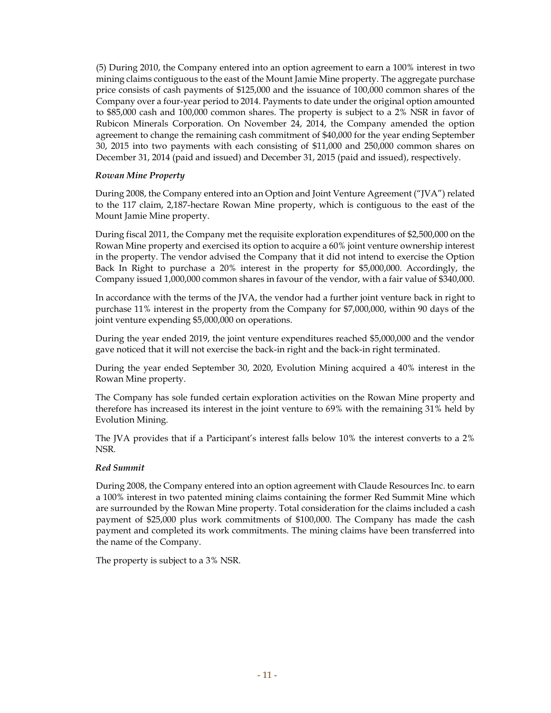(5) During 2010, the Company entered into an option agreement to earn a 100% interest in two mining claims contiguous to the east of the Mount Jamie Mine property. The aggregate purchase price consists of cash payments of \$125,000 and the issuance of 100,000 common shares of the Company over a four-year period to 2014. Payments to date under the original option amounted to \$85,000 cash and 100,000 common shares. The property is subject to a 2% NSR in favor of Rubicon Minerals Corporation. On November 24, 2014, the Company amended the option agreement to change the remaining cash commitment of \$40,000 for the year ending September 30, 2015 into two payments with each consisting of \$11,000 and 250,000 common shares on December 31, 2014 (paid and issued) and December 31, 2015 (paid and issued), respectively.

#### *Rowan Mine Property*

During 2008, the Company entered into an Option and Joint Venture Agreement ("JVA") related to the 117 claim, 2,187-hectare Rowan Mine property, which is contiguous to the east of the Mount Jamie Mine property.

During fiscal 2011, the Company met the requisite exploration expenditures of \$2,500,000 on the Rowan Mine property and exercised its option to acquire a 60% joint venture ownership interest in the property. The vendor advised the Company that it did not intend to exercise the Option Back In Right to purchase a 20% interest in the property for \$5,000,000. Accordingly, the Company issued 1,000,000 common shares in favour of the vendor, with a fair value of \$340,000.

In accordance with the terms of the JVA, the vendor had a further joint venture back in right to purchase 11% interest in the property from the Company for \$7,000,000, within 90 days of the joint venture expending \$5,000,000 on operations.

During the year ended 2019, the joint venture expenditures reached \$5,000,000 and the vendor gave noticed that it will not exercise the back-in right and the back-in right terminated.

During the year ended September 30, 2020, Evolution Mining acquired a 40% interest in the Rowan Mine property.

The Company has sole funded certain exploration activities on the Rowan Mine property and therefore has increased its interest in the joint venture to 69% with the remaining 31% held by Evolution Mining.

The JVA provides that if a Participant's interest falls below 10% the interest converts to a 2% NSR.

#### *Red Summit*

During 2008, the Company entered into an option agreement with Claude Resources Inc. to earn a 100% interest in two patented mining claims containing the former Red Summit Mine which are surrounded by the Rowan Mine property. Total consideration for the claims included a cash payment of \$25,000 plus work commitments of \$100,000. The Company has made the cash payment and completed its work commitments. The mining claims have been transferred into the name of the Company.

The property is subject to a 3% NSR.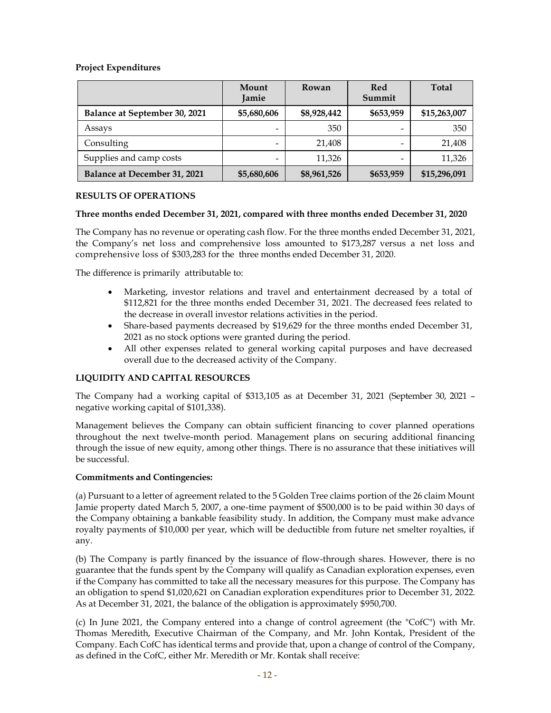### **Project Expenditures**

|                               | Mount<br>Jamie | Rowan       | Red<br>Summit | <b>Total</b> |
|-------------------------------|----------------|-------------|---------------|--------------|
| Balance at September 30, 2021 | \$5,680,606    | \$8,928,442 | \$653,959     | \$15,263,007 |
| Assays                        |                | 350         |               | 350          |
| Consulting                    |                | 21,408      |               | 21,408       |
| Supplies and camp costs       |                | 11,326      |               | 11,326       |
| Balance at December 31, 2021  | \$5,680,606    | \$8,961,526 | \$653,959     | \$15,296,091 |

#### **RESULTS OF OPERATIONS**

#### **Three months ended December 31, 2021, compared with three months ended December 31, 2020**

The Company has no revenue or operating cash flow. For the three months ended December 31, 2021, the Company's net loss and comprehensive loss amounted to \$173,287 versus a net loss and comprehensive loss of \$303,283 for the three months ended December 31, 2020.

The difference is primarily attributable to:

- Marketing, investor relations and travel and entertainment decreased by a total of \$112,821 for the three months ended December 31, 2021. The decreased fees related to the decrease in overall investor relations activities in the period.
- Share-based payments decreased by \$19,629 for the three months ended December 31, 2021 as no stock options were granted during the period.
- All other expenses related to general working capital purposes and have decreased overall due to the decreased activity of the Company.

### **LIQUIDITY AND CAPITAL RESOURCES**

The Company had a working capital of \$313,105 as at December 31, 2021 (September 30, 2021 – negative working capital of \$101,338).

Management believes the Company can obtain sufficient financing to cover planned operations throughout the next twelve-month period. Management plans on securing additional financing through the issue of new equity, among other things. There is no assurance that these initiatives will be successful.

#### **Commitments and Contingencies:**

(a) Pursuant to a letter of agreement related to the 5 Golden Tree claims portion of the 26 claim Mount Jamie property dated March 5, 2007, a one-time payment of \$500,000 is to be paid within 30 days of the Company obtaining a bankable feasibility study. In addition, the Company must make advance royalty payments of \$10,000 per year, which will be deductible from future net smelter royalties, if any.

(b) The Company is partly financed by the issuance of flow-through shares. However, there is no guarantee that the funds spent by the Company will qualify as Canadian exploration expenses, even if the Company has committed to take all the necessary measures for this purpose. The Company has an obligation to spend \$1,020,621 on Canadian exploration expenditures prior to December 31, 2022. As at December 31, 2021, the balance of the obligation is approximately \$950,700.

(c) In June 2021, the Company entered into a change of control agreement (the "CofC") with Mr. Thomas Meredith, Executive Chairman of the Company, and Mr. John Kontak, President of the Company. Each CofC has identical terms and provide that, upon a change of control of the Company, as defined in the CofC, either Mr. Meredith or Mr. Kontak shall receive: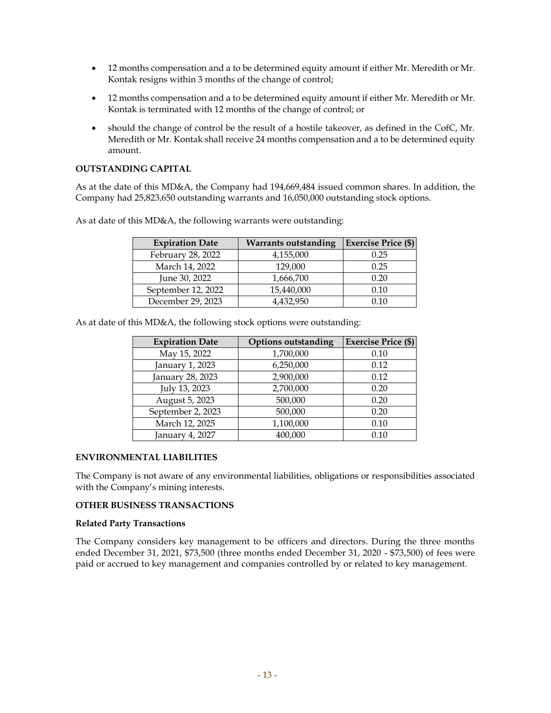- 12 months compensation and a to be determined equity amount if either Mr. Meredith or Mr. Kontak resigns within 3 months of the change of control;
- 12 months compensation and a to be determined equity amount if either Mr. Meredith or Mr. Kontak is terminated with 12 months of the change of control; or
- should the change of control be the result of a hostile takeover, as defined in the CofC, Mr. Meredith or Mr. Kontak shall receive 24 months compensation and a to be determined equity amount.

#### **OUTSTANDING CAPITAL**

As at the date of this MD&A, the Company had 194,669,484 issued common shares. In addition, the Company had 25,823,650 outstanding warrants and 16,050,000 outstanding stock options.

| <b>Expiration Date</b> | <b>Warrants outstanding</b> | <b>Exercise Price (\$)</b> |
|------------------------|-----------------------------|----------------------------|
| February 28, 2022      | 4,155,000                   | 0.25                       |
| March 14, 2022         | 129,000                     | 0.25                       |
| June 30, 2022          | 1,666,700                   | 0.20                       |
| September 12, 2022     | 15,440,000                  | 0.10                       |
| December 29, 2023      | 4,432,950                   |                            |

As at date of this MD&A, the following warrants were outstanding:

As at date of this MD&A, the following stock options were outstanding:

| <b>Expiration Date</b> | <b>Options outstanding</b> | <b>Exercise Price (\$)</b> |
|------------------------|----------------------------|----------------------------|
| May 15, 2022           | 1,700,000                  | 0.10                       |
| January 1, 2023        | 6,250,000                  | 0.12                       |
| January 28, 2023       | 2,900,000                  | 0.12                       |
| July 13, 2023          | 2,700,000                  | 0.20                       |
| August 5, 2023         | 500,000                    | 0.20                       |
| September 2, 2023      | 500,000                    | 0.20                       |
| March 12, 2025         | 1,100,000                  | 0.10                       |
| January 4, 2027        | 400,000                    | 0.10                       |

#### **ENVIRONMENTAL LIABILITIES**

The Company is not aware of any environmental liabilities, obligations or responsibilities associated with the Company's mining interests.

#### **OTHER BUSINESS TRANSACTIONS**

#### **Related Party Transactions**

The Company considers key management to be officers and directors. During the three months ended December 31, 2021, \$73,500 (three months ended December 31, 2020 - \$73,500) of fees were paid or accrued to key management and companies controlled by or related to key management.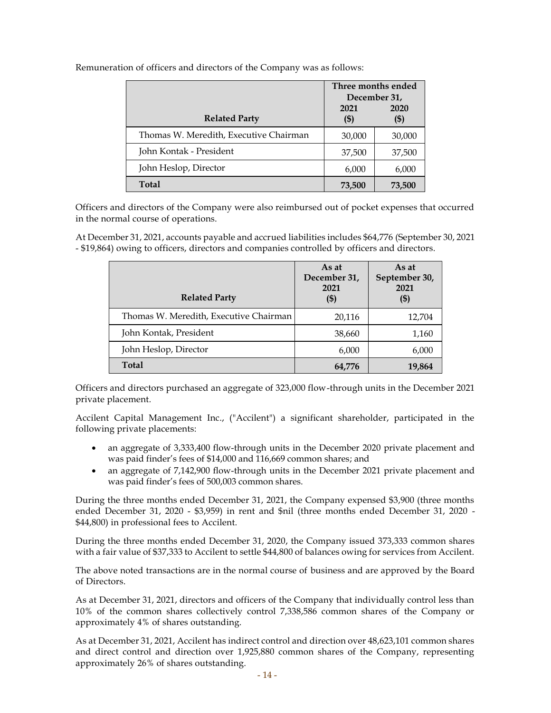|                                        | Three months ended<br>December 31, |                 |
|----------------------------------------|------------------------------------|-----------------|
| <b>Related Party</b>                   | 2021<br>(\$)                       | 2020<br>$($ \$) |
| Thomas W. Meredith, Executive Chairman | 30,000                             | 30,000          |
| John Kontak - President                | 37,500                             | 37,500          |
| John Heslop, Director                  | 6,000                              | 6,000           |
| <b>Total</b>                           | 73,500                             | 73,500          |

Remuneration of officers and directors of the Company was as follows:

Officers and directors of the Company were also reimbursed out of pocket expenses that occurred in the normal course of operations.

At December 31, 2021, accounts payable and accrued liabilities includes \$64,776 (September 30, 2021 - \$19,864) owing to officers, directors and companies controlled by officers and directors.

| <b>Related Party</b>                   | As at<br>December 31,<br>2021<br>$($ \$) | As at<br>September 30,<br>2021<br>(\$) |
|----------------------------------------|------------------------------------------|----------------------------------------|
| Thomas W. Meredith, Executive Chairman | 20,116                                   | 12,704                                 |
| John Kontak, President                 | 38,660                                   | 1,160                                  |
| John Heslop, Director                  | 6,000                                    | 6,000                                  |
| <b>Total</b>                           | 64,776                                   | 19,864                                 |

Officers and directors purchased an aggregate of 323,000 flow-through units in the December 2021 private placement.

Accilent Capital Management Inc., ("Accilent") a significant shareholder, participated in the following private placements:

- an aggregate of 3,333,400 flow-through units in the December 2020 private placement and was paid finder's fees of \$14,000 and 116,669 common shares; and
- an aggregate of 7,142,900 flow-through units in the December 2021 private placement and was paid finder's fees of 500,003 common shares.

During the three months ended December 31, 2021, the Company expensed \$3,900 (three months ended December 31, 2020 - \$3,959) in rent and \$nil (three months ended December 31, 2020 - \$44,800) in professional fees to Accilent.

During the three months ended December 31, 2020, the Company issued 373,333 common shares with a fair value of \$37,333 to Accilent to settle \$44,800 of balances owing for services from Accilent.

The above noted transactions are in the normal course of business and are approved by the Board of Directors.

As at December 31, 2021, directors and officers of the Company that individually control less than 10% of the common shares collectively control 7,338,586 common shares of the Company or approximately 4% of shares outstanding.

As at December 31, 2021, Accilent has indirect control and direction over 48,623,101 common shares and direct control and direction over 1,925,880 common shares of the Company, representing approximately 26% of shares outstanding.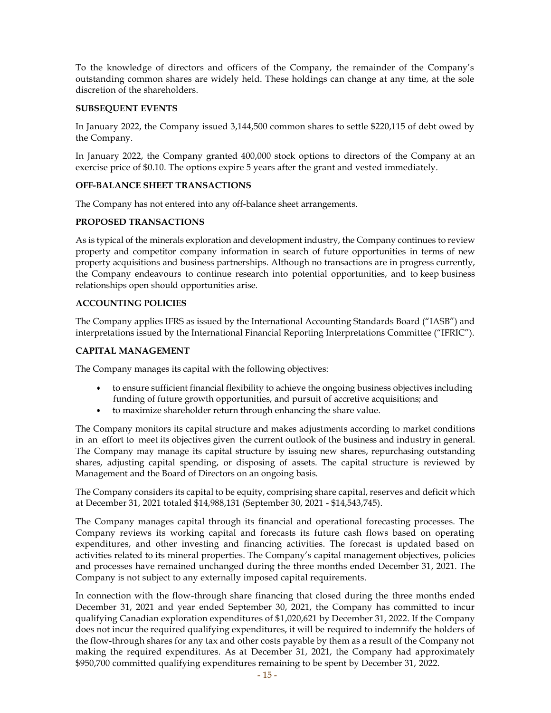To the knowledge of directors and officers of the Company, the remainder of the Company's outstanding common shares are widely held. These holdings can change at any time, at the sole discretion of the shareholders.

#### **SUBSEQUENT EVENTS**

In January 2022, the Company issued 3,144,500 common shares to settle \$220,115 of debt owed by the Company.

In January 2022, the Company granted 400,000 stock options to directors of the Company at an exercise price of \$0.10. The options expire 5 years after the grant and vested immediately.

#### **OFF-BALANCE SHEET TRANSACTIONS**

The Company has not entered into any off-balance sheet arrangements.

#### **PROPOSED TRANSACTIONS**

As is typical of the minerals exploration and development industry, the Company continues to review property and competitor company information in search of future opportunities in terms of new property acquisitions and business partnerships. Although no transactions are in progress currently, the Company endeavours to continue research into potential opportunities, and to keep business relationships open should opportunities arise.

#### **ACCOUNTING POLICIES**

The Company applies IFRS as issued by the International Accounting Standards Board ("IASB") and interpretations issued by the International Financial Reporting Interpretations Committee ("IFRIC").

#### **CAPITAL MANAGEMENT**

The Company manages its capital with the following objectives:

- to ensure sufficient financial flexibility to achieve the ongoing business objectives including funding of future growth opportunities, and pursuit of accretive acquisitions; and
- to maximize shareholder return through enhancing the share value.

The Company monitors its capital structure and makes adjustments according to market conditions in an effort to meet its objectives given the current outlook of the business and industry in general. The Company may manage its capital structure by issuing new shares, repurchasing outstanding shares, adjusting capital spending, or disposing of assets. The capital structure is reviewed by Management and the Board of Directors on an ongoing basis.

The Company considers its capital to be equity, comprising share capital, reserves and deficit which at December 31, 2021 totaled \$14,988,131 (September 30, 2021 - \$14,543,745).

The Company manages capital through its financial and operational forecasting processes. The Company reviews its working capital and forecasts its future cash flows based on operating expenditures, and other investing and financing activities. The forecast is updated based on activities related to its mineral properties. The Company's capital management objectives, policies and processes have remained unchanged during the three months ended December 31, 2021. The Company is not subject to any externally imposed capital requirements.

In connection with the flow-through share financing that closed during the three months ended December 31, 2021 and year ended September 30, 2021, the Company has committed to incur qualifying Canadian exploration expenditures of \$1,020,621 by December 31, 2022. If the Company does not incur the required qualifying expenditures, it will be required to indemnify the holders of the flow-through shares for any tax and other costs payable by them as a result of the Company not making the required expenditures. As at December 31, 2021, the Company had approximately \$950,700 committed qualifying expenditures remaining to be spent by December 31, 2022.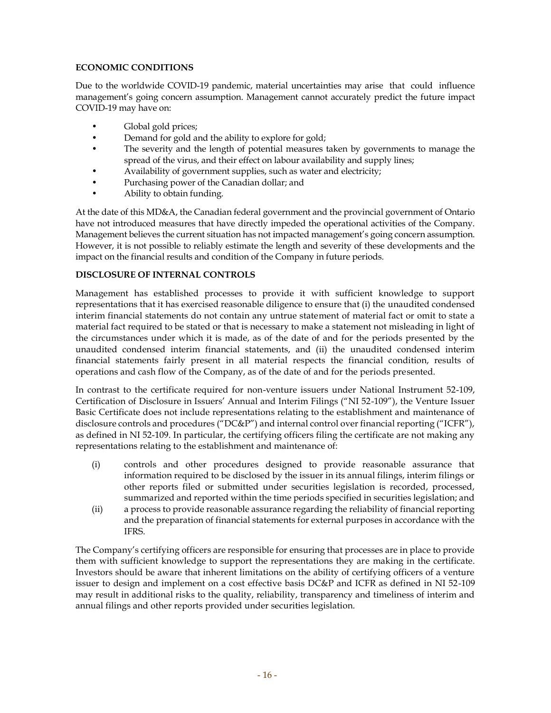# **ECONOMIC CONDITIONS**

Due to the worldwide COVID-19 pandemic, material uncertainties may arise that could influence management's going concern assumption. Management cannot accurately predict the future impact COVID-19 may have on:

- Global gold prices;
- Demand for gold and the ability to explore for gold;
- The severity and the length of potential measures taken by governments to manage the spread of the virus, and their effect on labour availability and supply lines;
- Availability of government supplies, such as water and electricity;
- Purchasing power of the Canadian dollar; and
- Ability to obtain funding.

At the date of this MD&A, the Canadian federal government and the provincial government of Ontario have not introduced measures that have directly impeded the operational activities of the Company. Management believes the current situation has not impacted management's going concern assumption. However, it is not possible to reliably estimate the length and severity of these developments and the impact on the financial results and condition of the Company in future periods.

### **DISCLOSURE OF INTERNAL CONTROLS**

Management has established processes to provide it with sufficient knowledge to support representations that it has exercised reasonable diligence to ensure that (i) the unaudited condensed interim financial statements do not contain any untrue statement of material fact or omit to state a material fact required to be stated or that is necessary to make a statement not misleading in light of the circumstances under which it is made, as of the date of and for the periods presented by the unaudited condensed interim financial statements, and (ii) the unaudited condensed interim financial statements fairly present in all material respects the financial condition, results of operations and cash flow of the Company, as of the date of and for the periods presented.

In contrast to the certificate required for non-venture issuers under National Instrument 52-109, Certification of Disclosure in Issuers' Annual and Interim Filings ("NI 52-109"), the Venture Issuer Basic Certificate does not include representations relating to the establishment and maintenance of disclosure controls and procedures ("DC&P") and internal control over financial reporting ("ICFR"), as defined in NI 52-109. In particular, the certifying officers filing the certificate are not making any representations relating to the establishment and maintenance of:

- (i) controls and other procedures designed to provide reasonable assurance that information required to be disclosed by the issuer in its annual filings, interim filings or other reports filed or submitted under securities legislation is recorded, processed, summarized and reported within the time periods specified in securities legislation; and
- (ii) a process to provide reasonable assurance regarding the reliability of financial reporting and the preparation of financial statements for external purposes in accordance with the IFRS.

The Company's certifying officers are responsible for ensuring that processes are in place to provide them with sufficient knowledge to support the representations they are making in the certificate. Investors should be aware that inherent limitations on the ability of certifying officers of a venture issuer to design and implement on a cost effective basis DC&P and ICFR as defined in NI 52-109 may result in additional risks to the quality, reliability, transparency and timeliness of interim and annual filings and other reports provided under securities legislation.